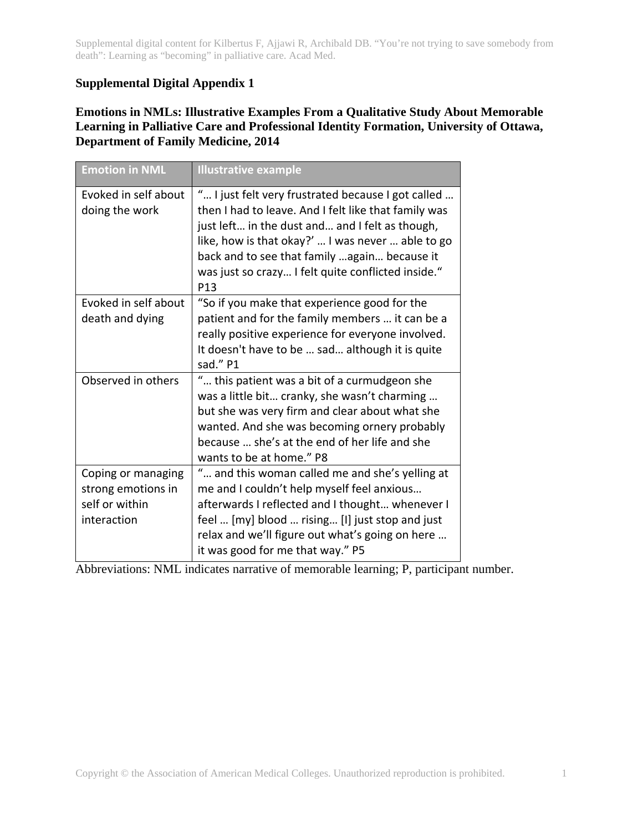Supplemental digital content for Kilbertus F, Ajjawi R, Archibald DB. "You're not trying to save somebody from death": Learning as "becoming" in palliative care. Acad Med.

## **Supplemental Digital Appendix 1**

## **Emotions in NMLs: Illustrative Examples From a Qualitative Study About Memorable Learning in Palliative Care and Professional Identity Formation, University of Ottawa, Department of Family Medicine, 2014**

| <b>Emotion in NML</b>                                                     | <b>Illustrative example</b>                                                                                                                                                                                                                                                                                                      |
|---------------------------------------------------------------------------|----------------------------------------------------------------------------------------------------------------------------------------------------------------------------------------------------------------------------------------------------------------------------------------------------------------------------------|
| Evoked in self about<br>doing the work                                    | " I just felt very frustrated because I got called<br>then I had to leave. And I felt like that family was<br>just left in the dust and and I felt as though,<br>like, how is that okay?'  I was never  able to go<br>back and to see that family  again because it<br>was just so crazy I felt quite conflicted inside."<br>P13 |
| Evoked in self about<br>death and dying                                   | "So if you make that experience good for the<br>patient and for the family members  it can be a<br>really positive experience for everyone involved.<br>It doesn't have to be  sad although it is quite<br>sad." P1                                                                                                              |
| Observed in others                                                        | " this patient was a bit of a curmudgeon she<br>was a little bit cranky, she wasn't charming<br>but she was very firm and clear about what she<br>wanted. And she was becoming ornery probably<br>because  she's at the end of her life and she<br>wants to be at home." P8                                                      |
| Coping or managing<br>strong emotions in<br>self or within<br>interaction | " and this woman called me and she's yelling at<br>me and I couldn't help myself feel anxious<br>afterwards I reflected and I thought whenever I<br>feel  [my] blood  rising [I] just stop and just<br>relax and we'll figure out what's going on here<br>it was good for me that way." P5                                       |

Abbreviations: NML indicates narrative of memorable learning; P, participant number.